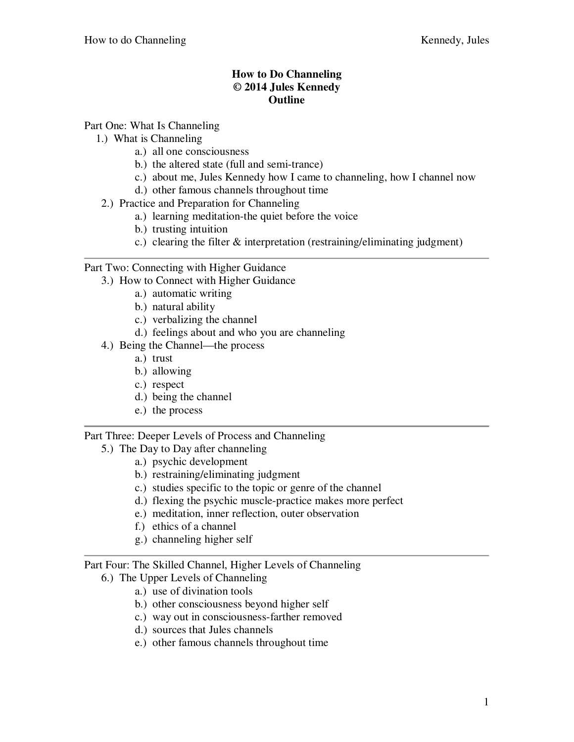## **How to Do Channeling © 2014 Jules Kennedy Outline**

Part One: What Is Channeling

- 1.) What is Channeling
	- a.) all one consciousness
	- b.) the altered state (full and semi-trance)
	- c.) about me, Jules Kennedy how I came to channeling, how I channel now
	- d.) other famous channels throughout time
- 2.) Practice and Preparation for Channeling
	- a.) learning meditation-the quiet before the voice
	- b.) trusting intuition
	- c.) clearing the filter & interpretation (restraining/eliminating judgment)

## Part Two: Connecting with Higher Guidance

- 3.) How to Connect with Higher Guidance
	- a.) automatic writing
	- b.) natural ability
	- c.) verbalizing the channel
	- d.) feelings about and who you are channeling
- 4.) Being the Channel—the process
	- a.) trust
	- b.) allowing
	- c.) respect
	- d.) being the channel
	- e.) the process

## Part Three: Deeper Levels of Process and Channeling

- 5.) The Day to Day after channeling
	- a.) psychic development
	- b.) restraining/eliminating judgment
	- c.) studies specific to the topic or genre of the channel
	- d.) flexing the psychic muscle-practice makes more perfect
	- e.) meditation, inner reflection, outer observation
	- f.) ethics of a channel
	- g.) channeling higher self

## Part Four: The Skilled Channel, Higher Levels of Channeling

- 6.) The Upper Levels of Channeling
	- a.) use of divination tools
	- b.) other consciousness beyond higher self
	- c.) way out in consciousness-farther removed
	- d.) sources that Jules channels
	- e.) other famous channels throughout time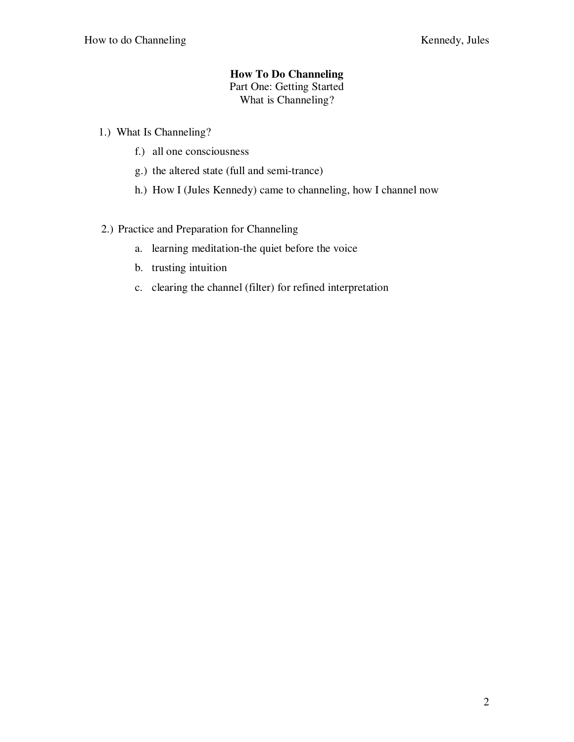# **How To Do Channeling**

Part One: Getting Started

What is Channeling?

- 1.) What Is Channeling?
	- f.) all one consciousness
	- g.) the altered state (full and semi-trance)
	- h.) How I (Jules Kennedy) came to channeling, how I channel now

## 2.) Practice and Preparation for Channeling

- a. learning meditation-the quiet before the voice
- b. trusting intuition
- c. clearing the channel (filter) for refined interpretation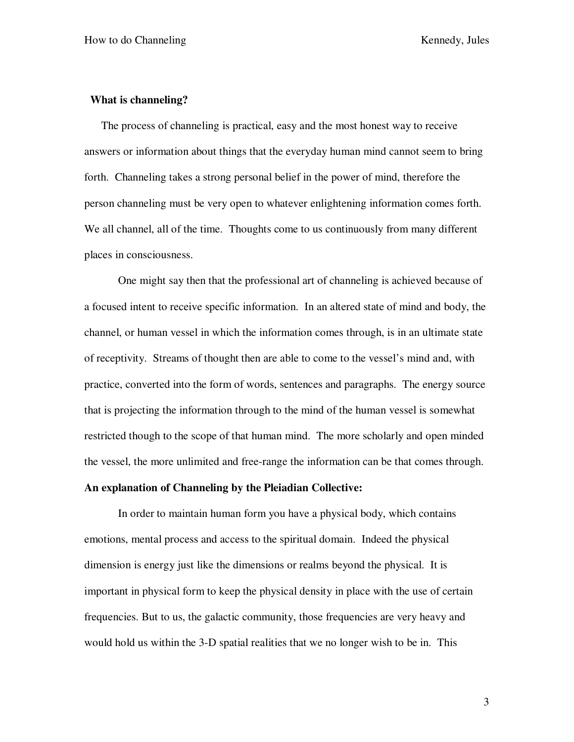### **What is channeling?**

The process of channeling is practical, easy and the most honest way to receive answers or information about things that the everyday human mind cannot seem to bring forth. Channeling takes a strong personal belief in the power of mind, therefore the person channeling must be very open to whatever enlightening information comes forth. We all channel, all of the time. Thoughts come to us continuously from many different places in consciousness.

One might say then that the professional art of channeling is achieved because of a focused intent to receive specific information. In an altered state of mind and body, the channel, or human vessel in which the information comes through, is in an ultimate state of receptivity. Streams of thought then are able to come to the vessel's mind and, with practice, converted into the form of words, sentences and paragraphs. The energy source that is projecting the information through to the mind of the human vessel is somewhat restricted though to the scope of that human mind. The more scholarly and open minded the vessel, the more unlimited and free-range the information can be that comes through.

### **An explanation of Channeling by the Pleiadian Collective:**

In order to maintain human form you have a physical body, which contains emotions, mental process and access to the spiritual domain. Indeed the physical dimension is energy just like the dimensions or realms beyond the physical. It is important in physical form to keep the physical density in place with the use of certain frequencies. But to us, the galactic community, those frequencies are very heavy and would hold us within the 3-D spatial realities that we no longer wish to be in. This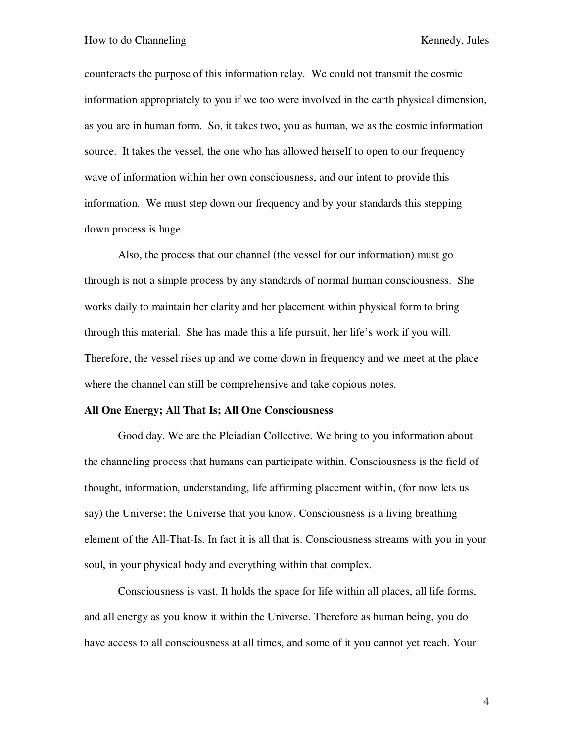counteracts the purpose of this information relay. We could not transmit the cosmic information appropriately to you if we too were involved in the earth physical dimension, as you are in human form. So, it takes two, you as human, we as the cosmic information source. It takes the vessel, the one who has allowed herself to open to our frequency wave of information within her own consciousness, and our intent to provide this information. We must step down our frequency and by your standards this stepping down process is huge.

Also, the process that our channel (the vessel for our information) must go through is not a simple process by any standards of normal human consciousness. She works daily to maintain her clarity and her placement within physical form to bring through this material. She has made this a life pursuit, her life's work if you will. Therefore, the vessel rises up and we come down in frequency and we meet at the place where the channel can still be comprehensive and take copious notes.

### **All One Energy; All That Is; All One Consciousness**

Good day. We are the Pleiadian Collective. We bring to you information about the channeling process that humans can participate within. Consciousness is the field of thought, information, understanding, life affirming placement within, (for now lets us say) the Universe; the Universe that you know. Consciousness is a living breathing element of the All-That-Is. In fact it is all that is. Consciousness streams with you in your soul, in your physical body and everything within that complex.

Consciousness is vast. It holds the space for life within all places, all life forms, and all energy as you know it within the Universe. Therefore as human being, you do have access to all consciousness at all times, and some of it you cannot yet reach. Your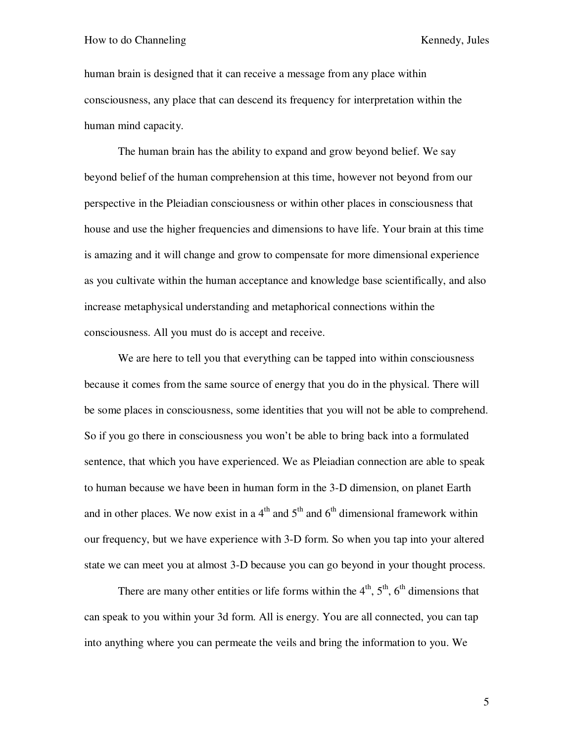#### How to do Channeling Kennedy, Jules

human brain is designed that it can receive a message from any place within consciousness, any place that can descend its frequency for interpretation within the human mind capacity.

The human brain has the ability to expand and grow beyond belief. We say beyond belief of the human comprehension at this time, however not beyond from our perspective in the Pleiadian consciousness or within other places in consciousness that house and use the higher frequencies and dimensions to have life. Your brain at this time is amazing and it will change and grow to compensate for more dimensional experience as you cultivate within the human acceptance and knowledge base scientifically, and also increase metaphysical understanding and metaphorical connections within the consciousness. All you must do is accept and receive.

We are here to tell you that everything can be tapped into within consciousness because it comes from the same source of energy that you do in the physical. There will be some places in consciousness, some identities that you will not be able to comprehend. So if you go there in consciousness you won't be able to bring back into a formulated sentence, that which you have experienced. We as Pleiadian connection are able to speak to human because we have been in human form in the 3-D dimension, on planet Earth and in other places. We now exist in a  $4<sup>th</sup>$  and  $5<sup>th</sup>$  and  $6<sup>th</sup>$  dimensional framework within our frequency, but we have experience with 3-D form. So when you tap into your altered state we can meet you at almost 3-D because you can go beyond in your thought process.

There are many other entities or life forms within the  $4<sup>th</sup>$ ,  $5<sup>th</sup>$ ,  $6<sup>th</sup>$  dimensions that can speak to you within your 3d form. All is energy. You are all connected, you can tap into anything where you can permeate the veils and bring the information to you. We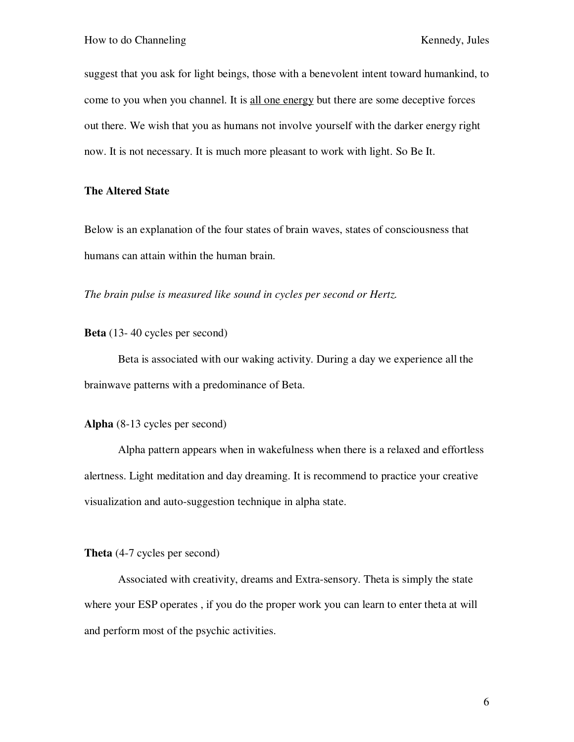suggest that you ask for light beings, those with a benevolent intent toward humankind, to come to you when you channel. It is all one energy but there are some deceptive forces out there. We wish that you as humans not involve yourself with the darker energy right now. It is not necessary. It is much more pleasant to work with light. So Be It.

## **The Altered State**

Below is an explanation of the four states of brain waves, states of consciousness that humans can attain within the human brain.

*The brain pulse is measured like sound in cycles per second or Hertz.* 

**Beta** (13- 40 cycles per second)

 Beta is associated with our waking activity. During a day we experience all the brainwave patterns with a predominance of Beta.

**Alpha** (8-13 cycles per second)

Alpha pattern appears when in wakefulness when there is a relaxed and effortless alertness. Light meditation and day dreaming. It is recommend to practice your creative visualization and auto-suggestion technique in alpha state.

**Theta** (4-7 cycles per second)

Associated with creativity, dreams and Extra-sensory. Theta is simply the state where your ESP operates , if you do the proper work you can learn to enter theta at will and perform most of the psychic activities.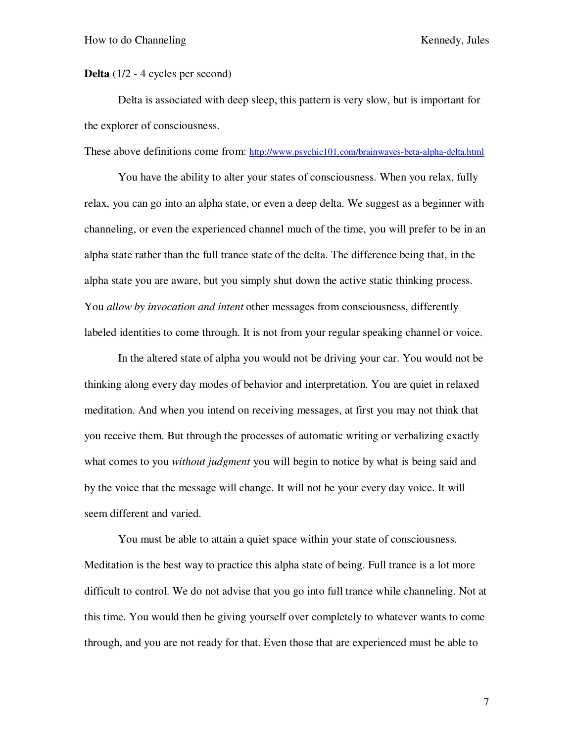**Delta** (1/2 - 4 cycles per second)

Delta is associated with deep sleep, this pattern is very slow, but is important for the explorer of consciousness.

These above definitions come from: http://www.psychic101.com/brainwaves-beta-alpha-delta.html

You have the ability to alter your states of consciousness. When you relax, fully relax, you can go into an alpha state, or even a deep delta. We suggest as a beginner with channeling, or even the experienced channel much of the time, you will prefer to be in an alpha state rather than the full trance state of the delta. The difference being that, in the alpha state you are aware, but you simply shut down the active static thinking process. You *allow by invocation and intent* other messages from consciousness, differently labeled identities to come through. It is not from your regular speaking channel or voice.

In the altered state of alpha you would not be driving your car. You would not be thinking along every day modes of behavior and interpretation. You are quiet in relaxed meditation. And when you intend on receiving messages, at first you may not think that you receive them. But through the processes of automatic writing or verbalizing exactly what comes to you *without judgment* you will begin to notice by what is being said and by the voice that the message will change. It will not be your every day voice. It will seem different and varied.

You must be able to attain a quiet space within your state of consciousness. Meditation is the best way to practice this alpha state of being. Full trance is a lot more difficult to control. We do not advise that you go into full trance while channeling. Not at this time. You would then be giving yourself over completely to whatever wants to come through, and you are not ready for that. Even those that are experienced must be able to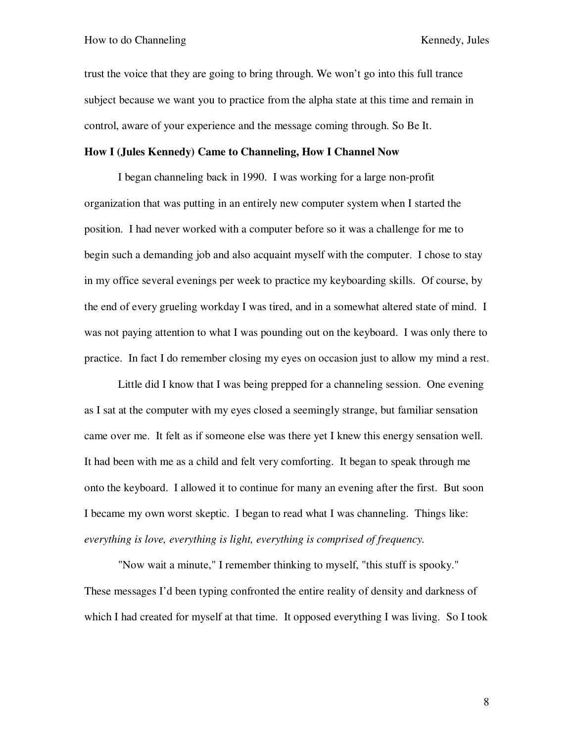trust the voice that they are going to bring through. We won't go into this full trance subject because we want you to practice from the alpha state at this time and remain in control, aware of your experience and the message coming through. So Be It.

## **How I (Jules Kennedy) Came to Channeling, How I Channel Now**

I began channeling back in 1990. I was working for a large non-profit organization that was putting in an entirely new computer system when I started the position. I had never worked with a computer before so it was a challenge for me to begin such a demanding job and also acquaint myself with the computer. I chose to stay in my office several evenings per week to practice my keyboarding skills. Of course, by the end of every grueling workday I was tired, and in a somewhat altered state of mind. I was not paying attention to what I was pounding out on the keyboard. I was only there to practice. In fact I do remember closing my eyes on occasion just to allow my mind a rest.

Little did I know that I was being prepped for a channeling session. One evening as I sat at the computer with my eyes closed a seemingly strange, but familiar sensation came over me. It felt as if someone else was there yet I knew this energy sensation well. It had been with me as a child and felt very comforting. It began to speak through me onto the keyboard. I allowed it to continue for many an evening after the first. But soon I became my own worst skeptic. I began to read what I was channeling. Things like: *everything is love, everything is light, everything is comprised of frequency.*

"Now wait a minute," I remember thinking to myself, "this stuff is spooky." These messages I'd been typing confronted the entire reality of density and darkness of which I had created for myself at that time. It opposed everything I was living. So I took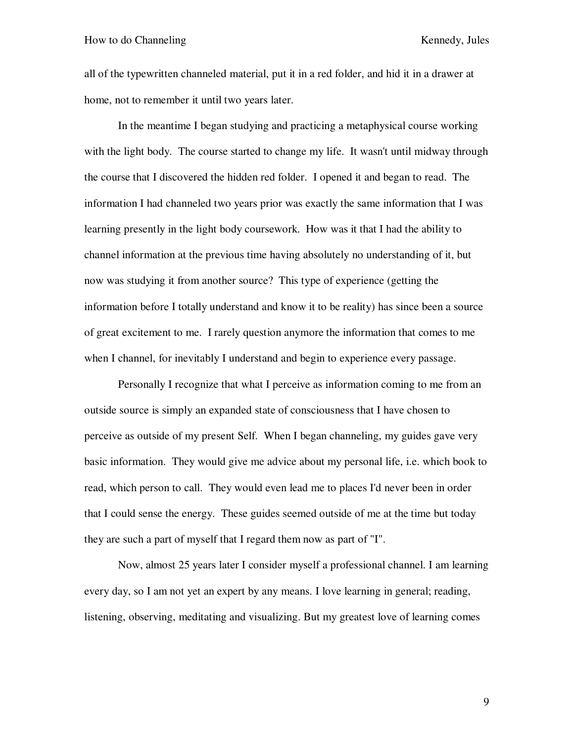all of the typewritten channeled material, put it in a red folder, and hid it in a drawer at home, not to remember it until two years later.

In the meantime I began studying and practicing a metaphysical course working with the light body. The course started to change my life. It wasn't until midway through the course that I discovered the hidden red folder. I opened it and began to read. The information I had channeled two years prior was exactly the same information that I was learning presently in the light body coursework. How was it that I had the ability to channel information at the previous time having absolutely no understanding of it, but now was studying it from another source? This type of experience (getting the information before I totally understand and know it to be reality) has since been a source of great excitement to me. I rarely question anymore the information that comes to me when I channel, for inevitably I understand and begin to experience every passage.

Personally I recognize that what I perceive as information coming to me from an outside source is simply an expanded state of consciousness that I have chosen to perceive as outside of my present Self. When I began channeling, my guides gave very basic information. They would give me advice about my personal life, i.e. which book to read, which person to call. They would even lead me to places I'd never been in order that I could sense the energy. These guides seemed outside of me at the time but today they are such a part of myself that I regard them now as part of "I".

Now, almost 25 years later I consider myself a professional channel. I am learning every day, so I am not yet an expert by any means. I love learning in general; reading, listening, observing, meditating and visualizing. But my greatest love of learning comes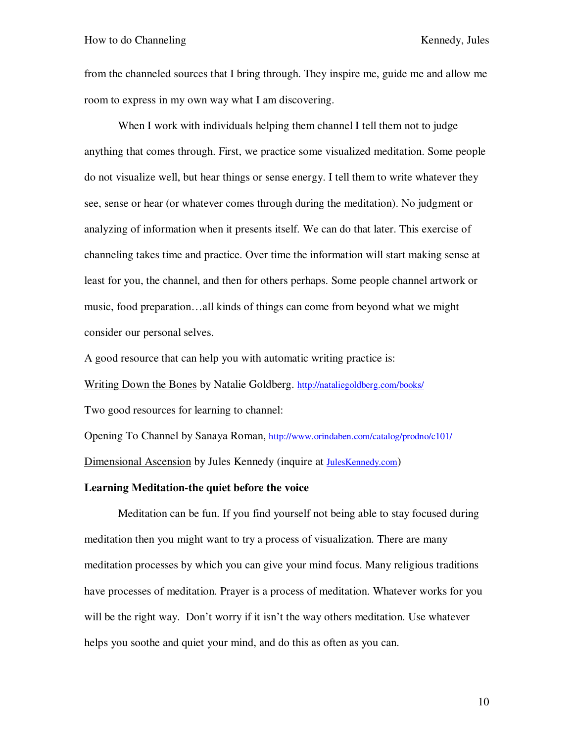from the channeled sources that I bring through. They inspire me, guide me and allow me room to express in my own way what I am discovering.

When I work with individuals helping them channel I tell them not to judge anything that comes through. First, we practice some visualized meditation. Some people do not visualize well, but hear things or sense energy. I tell them to write whatever they see, sense or hear (or whatever comes through during the meditation). No judgment or analyzing of information when it presents itself. We can do that later. This exercise of channeling takes time and practice. Over time the information will start making sense at least for you, the channel, and then for others perhaps. Some people channel artwork or music, food preparation…all kinds of things can come from beyond what we might consider our personal selves.

A good resource that can help you with automatic writing practice is:

Writing Down the Bones by Natalie Goldberg. http://nataliegoldberg.com/books/

Two good resources for learning to channel:

Opening To Channel by Sanaya Roman, http://www.orindaben.com/catalog/prodno/c101/ Dimensional Ascension by Jules Kennedy (inquire at JulesKennedy.com)

### **Learning Meditation-the quiet before the voice**

Meditation can be fun. If you find yourself not being able to stay focused during meditation then you might want to try a process of visualization. There are many meditation processes by which you can give your mind focus. Many religious traditions have processes of meditation. Prayer is a process of meditation. Whatever works for you will be the right way. Don't worry if it isn't the way others meditation. Use whatever helps you soothe and quiet your mind, and do this as often as you can.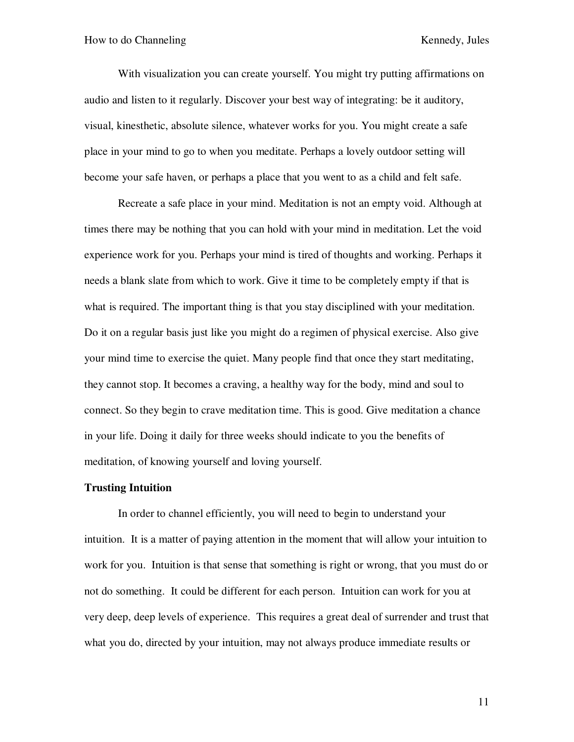With visualization you can create yourself. You might try putting affirmations on audio and listen to it regularly. Discover your best way of integrating: be it auditory, visual, kinesthetic, absolute silence, whatever works for you. You might create a safe place in your mind to go to when you meditate. Perhaps a lovely outdoor setting will become your safe haven, or perhaps a place that you went to as a child and felt safe.

Recreate a safe place in your mind. Meditation is not an empty void. Although at times there may be nothing that you can hold with your mind in meditation. Let the void experience work for you. Perhaps your mind is tired of thoughts and working. Perhaps it needs a blank slate from which to work. Give it time to be completely empty if that is what is required. The important thing is that you stay disciplined with your meditation. Do it on a regular basis just like you might do a regimen of physical exercise. Also give your mind time to exercise the quiet. Many people find that once they start meditating, they cannot stop. It becomes a craving, a healthy way for the body, mind and soul to connect. So they begin to crave meditation time. This is good. Give meditation a chance in your life. Doing it daily for three weeks should indicate to you the benefits of meditation, of knowing yourself and loving yourself.

#### **Trusting Intuition**

In order to channel efficiently, you will need to begin to understand your intuition. It is a matter of paying attention in the moment that will allow your intuition to work for you. Intuition is that sense that something is right or wrong, that you must do or not do something. It could be different for each person. Intuition can work for you at very deep, deep levels of experience. This requires a great deal of surrender and trust that what you do, directed by your intuition, may not always produce immediate results or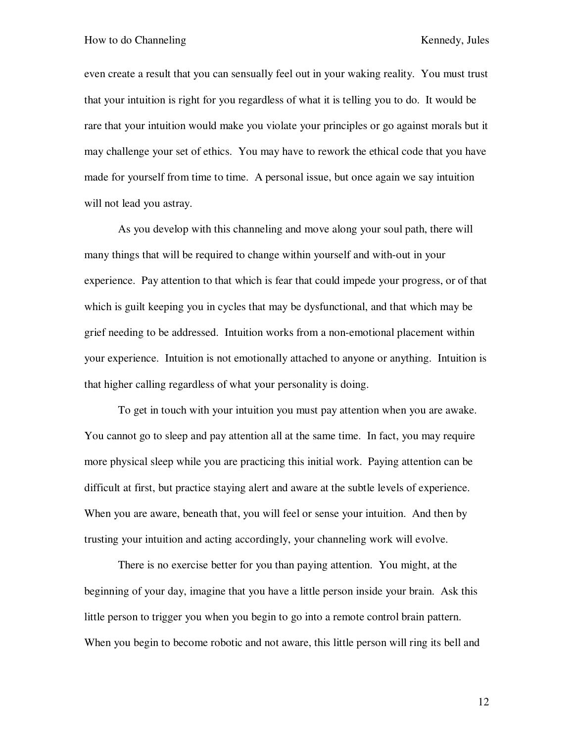even create a result that you can sensually feel out in your waking reality. You must trust that your intuition is right for you regardless of what it is telling you to do. It would be rare that your intuition would make you violate your principles or go against morals but it may challenge your set of ethics. You may have to rework the ethical code that you have made for yourself from time to time. A personal issue, but once again we say intuition will not lead you astray.

As you develop with this channeling and move along your soul path, there will many things that will be required to change within yourself and with-out in your experience. Pay attention to that which is fear that could impede your progress, or of that which is guilt keeping you in cycles that may be dysfunctional, and that which may be grief needing to be addressed. Intuition works from a non-emotional placement within your experience. Intuition is not emotionally attached to anyone or anything. Intuition is that higher calling regardless of what your personality is doing.

To get in touch with your intuition you must pay attention when you are awake. You cannot go to sleep and pay attention all at the same time. In fact, you may require more physical sleep while you are practicing this initial work. Paying attention can be difficult at first, but practice staying alert and aware at the subtle levels of experience. When you are aware, beneath that, you will feel or sense your intuition. And then by trusting your intuition and acting accordingly, your channeling work will evolve.

There is no exercise better for you than paying attention. You might, at the beginning of your day, imagine that you have a little person inside your brain. Ask this little person to trigger you when you begin to go into a remote control brain pattern. When you begin to become robotic and not aware, this little person will ring its bell and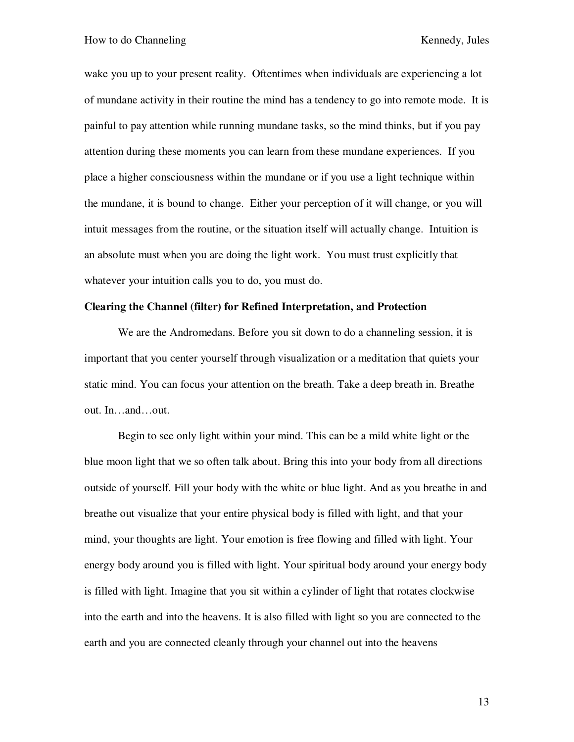wake you up to your present reality. Oftentimes when individuals are experiencing a lot of mundane activity in their routine the mind has a tendency to go into remote mode. It is painful to pay attention while running mundane tasks, so the mind thinks, but if you pay attention during these moments you can learn from these mundane experiences. If you place a higher consciousness within the mundane or if you use a light technique within the mundane, it is bound to change. Either your perception of it will change, or you will intuit messages from the routine, or the situation itself will actually change. Intuition is an absolute must when you are doing the light work. You must trust explicitly that whatever your intuition calls you to do, you must do.

### **Clearing the Channel (filter) for Refined Interpretation, and Protection**

We are the Andromedans. Before you sit down to do a channeling session, it is important that you center yourself through visualization or a meditation that quiets your static mind. You can focus your attention on the breath. Take a deep breath in. Breathe out. In…and…out.

Begin to see only light within your mind. This can be a mild white light or the blue moon light that we so often talk about. Bring this into your body from all directions outside of yourself. Fill your body with the white or blue light. And as you breathe in and breathe out visualize that your entire physical body is filled with light, and that your mind, your thoughts are light. Your emotion is free flowing and filled with light. Your energy body around you is filled with light. Your spiritual body around your energy body is filled with light. Imagine that you sit within a cylinder of light that rotates clockwise into the earth and into the heavens. It is also filled with light so you are connected to the earth and you are connected cleanly through your channel out into the heavens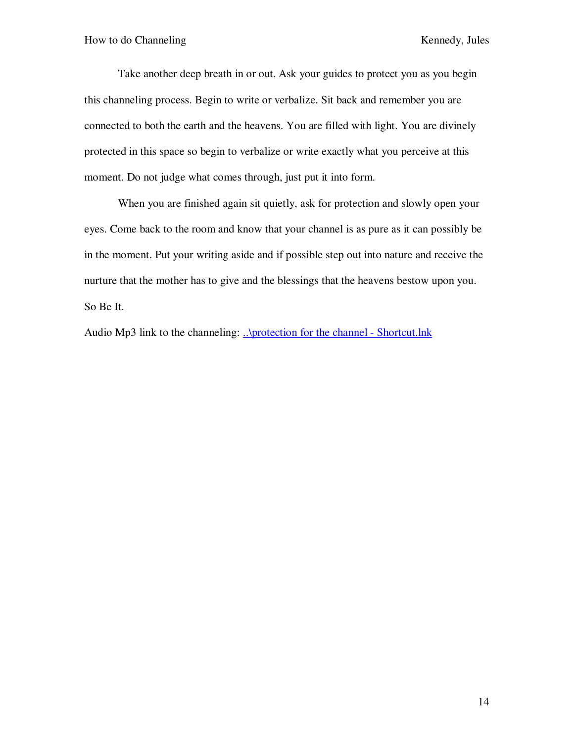Take another deep breath in or out. Ask your guides to protect you as you begin this channeling process. Begin to write or verbalize. Sit back and remember you are connected to both the earth and the heavens. You are filled with light. You are divinely protected in this space so begin to verbalize or write exactly what you perceive at this moment. Do not judge what comes through, just put it into form.

 When you are finished again sit quietly, ask for protection and slowly open your eyes. Come back to the room and know that your channel is as pure as it can possibly be in the moment. Put your writing aside and if possible step out into nature and receive the nurture that the mother has to give and the blessings that the heavens bestow upon you. So Be It.

Audio Mp3 link to the channeling: ..\protection for the channel - Shortcut.lnk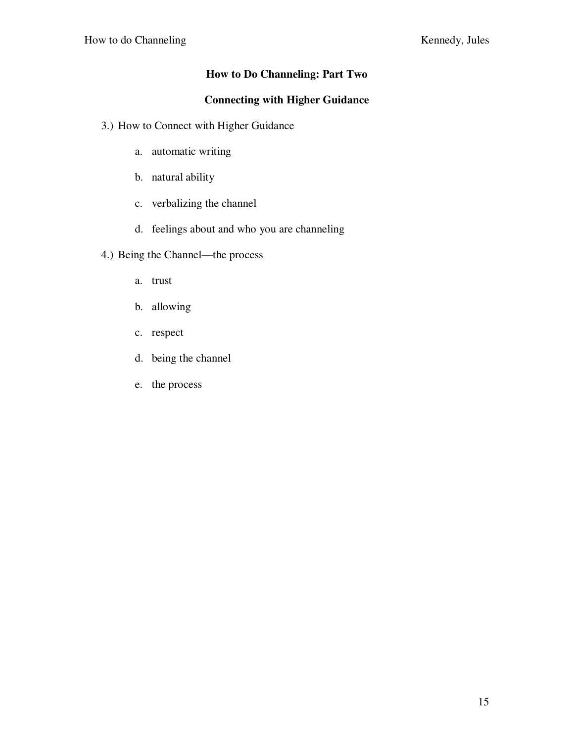## **How to Do Channeling: Part Two**

## **Connecting with Higher Guidance**

- 3.) How to Connect with Higher Guidance
	- a. automatic writing
	- b. natural ability
	- c. verbalizing the channel
	- d. feelings about and who you are channeling
- 4.) Being the Channel—the process
	- a. trust
	- b. allowing
	- c. respect
	- d. being the channel
	- e. the process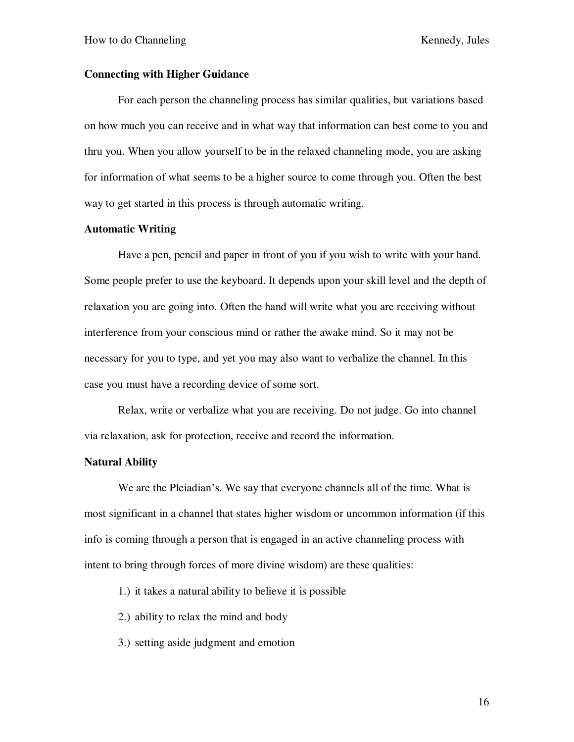## **Connecting with Higher Guidance**

For each person the channeling process has similar qualities, but variations based on how much you can receive and in what way that information can best come to you and thru you. When you allow yourself to be in the relaxed channeling mode, you are asking for information of what seems to be a higher source to come through you. Often the best way to get started in this process is through automatic writing.

## **Automatic Writing**

Have a pen, pencil and paper in front of you if you wish to write with your hand. Some people prefer to use the keyboard. It depends upon your skill level and the depth of relaxation you are going into. Often the hand will write what you are receiving without interference from your conscious mind or rather the awake mind. So it may not be necessary for you to type, and yet you may also want to verbalize the channel. In this case you must have a recording device of some sort.

Relax, write or verbalize what you are receiving. Do not judge. Go into channel via relaxation, ask for protection, receive and record the information.

### **Natural Ability**

We are the Pleiadian's. We say that everyone channels all of the time. What is most significant in a channel that states higher wisdom or uncommon information (if this info is coming through a person that is engaged in an active channeling process with intent to bring through forces of more divine wisdom) are these qualities:

- 1.) it takes a natural ability to believe it is possible
- 2.) ability to relax the mind and body
- 3.) setting aside judgment and emotion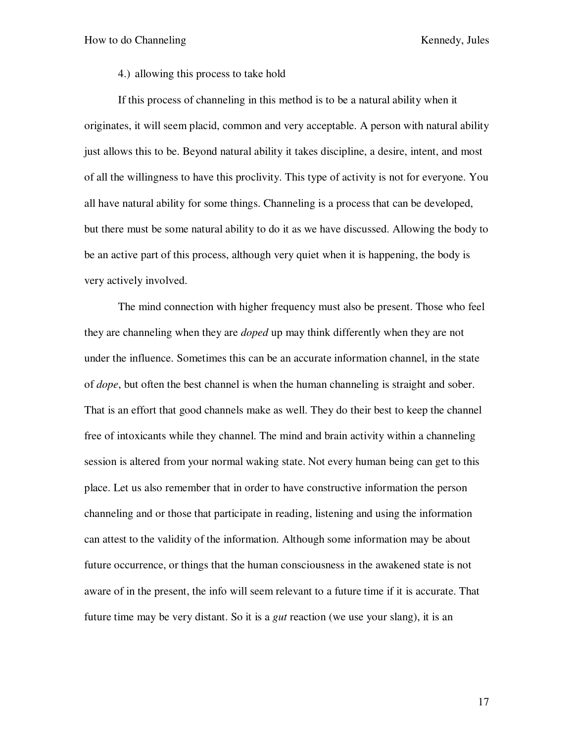4.) allowing this process to take hold

If this process of channeling in this method is to be a natural ability when it originates, it will seem placid, common and very acceptable. A person with natural ability just allows this to be. Beyond natural ability it takes discipline, a desire, intent, and most of all the willingness to have this proclivity. This type of activity is not for everyone. You all have natural ability for some things. Channeling is a process that can be developed, but there must be some natural ability to do it as we have discussed. Allowing the body to be an active part of this process, although very quiet when it is happening, the body is very actively involved.

The mind connection with higher frequency must also be present. Those who feel they are channeling when they are *doped* up may think differently when they are not under the influence. Sometimes this can be an accurate information channel, in the state of *dope*, but often the best channel is when the human channeling is straight and sober. That is an effort that good channels make as well. They do their best to keep the channel free of intoxicants while they channel. The mind and brain activity within a channeling session is altered from your normal waking state. Not every human being can get to this place. Let us also remember that in order to have constructive information the person channeling and or those that participate in reading, listening and using the information can attest to the validity of the information. Although some information may be about future occurrence, or things that the human consciousness in the awakened state is not aware of in the present, the info will seem relevant to a future time if it is accurate. That future time may be very distant. So it is a *gut* reaction (we use your slang), it is an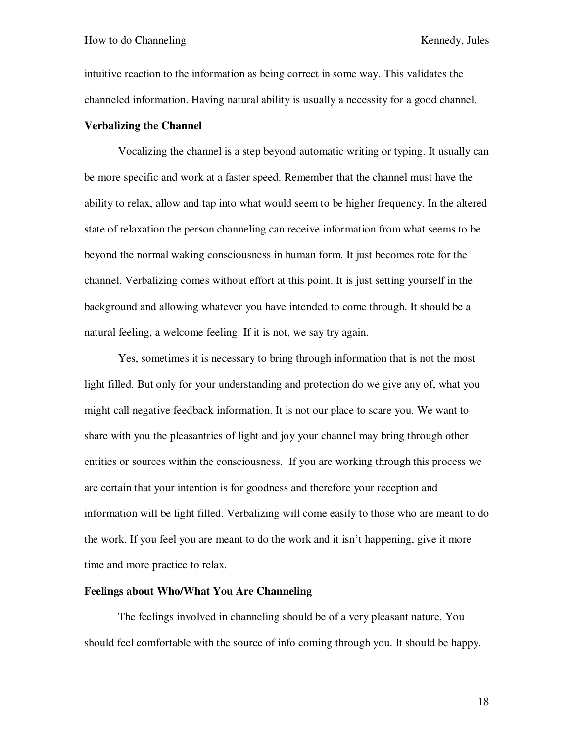intuitive reaction to the information as being correct in some way. This validates the channeled information. Having natural ability is usually a necessity for a good channel.

### **Verbalizing the Channel**

Vocalizing the channel is a step beyond automatic writing or typing. It usually can be more specific and work at a faster speed. Remember that the channel must have the ability to relax, allow and tap into what would seem to be higher frequency. In the altered state of relaxation the person channeling can receive information from what seems to be beyond the normal waking consciousness in human form. It just becomes rote for the channel. Verbalizing comes without effort at this point. It is just setting yourself in the background and allowing whatever you have intended to come through. It should be a natural feeling, a welcome feeling. If it is not, we say try again.

Yes, sometimes it is necessary to bring through information that is not the most light filled. But only for your understanding and protection do we give any of, what you might call negative feedback information. It is not our place to scare you. We want to share with you the pleasantries of light and joy your channel may bring through other entities or sources within the consciousness. If you are working through this process we are certain that your intention is for goodness and therefore your reception and information will be light filled. Verbalizing will come easily to those who are meant to do the work. If you feel you are meant to do the work and it isn't happening, give it more time and more practice to relax.

### **Feelings about Who/What You Are Channeling**

The feelings involved in channeling should be of a very pleasant nature. You should feel comfortable with the source of info coming through you. It should be happy.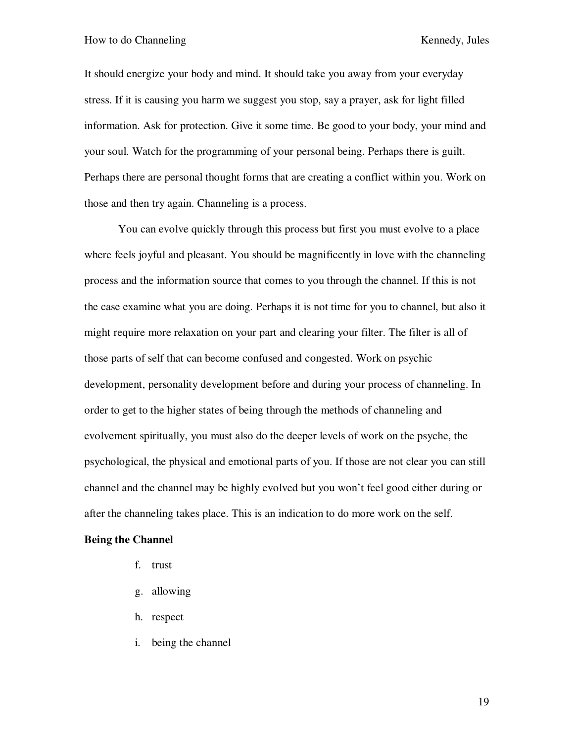It should energize your body and mind. It should take you away from your everyday stress. If it is causing you harm we suggest you stop, say a prayer, ask for light filled information. Ask for protection. Give it some time. Be good to your body, your mind and your soul. Watch for the programming of your personal being. Perhaps there is guilt. Perhaps there are personal thought forms that are creating a conflict within you. Work on those and then try again. Channeling is a process.

You can evolve quickly through this process but first you must evolve to a place where feels joyful and pleasant. You should be magnificently in love with the channeling process and the information source that comes to you through the channel. If this is not the case examine what you are doing. Perhaps it is not time for you to channel, but also it might require more relaxation on your part and clearing your filter. The filter is all of those parts of self that can become confused and congested. Work on psychic development, personality development before and during your process of channeling. In order to get to the higher states of being through the methods of channeling and evolvement spiritually, you must also do the deeper levels of work on the psyche, the psychological, the physical and emotional parts of you. If those are not clear you can still channel and the channel may be highly evolved but you won't feel good either during or after the channeling takes place. This is an indication to do more work on the self.

### **Being the Channel**

- f. trust
- g. allowing
- h. respect
- i. being the channel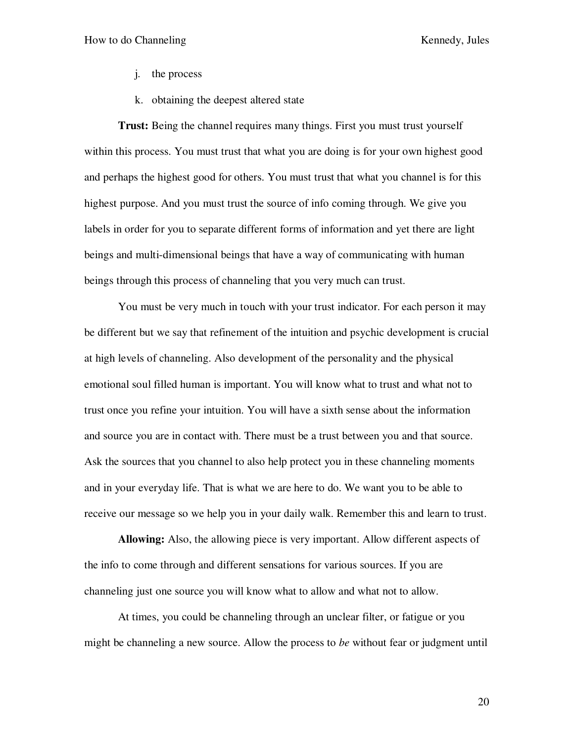- j. the process
- k. obtaining the deepest altered state

**Trust:** Being the channel requires many things. First you must trust yourself within this process. You must trust that what you are doing is for your own highest good and perhaps the highest good for others. You must trust that what you channel is for this highest purpose. And you must trust the source of info coming through. We give you labels in order for you to separate different forms of information and yet there are light beings and multi-dimensional beings that have a way of communicating with human beings through this process of channeling that you very much can trust.

You must be very much in touch with your trust indicator. For each person it may be different but we say that refinement of the intuition and psychic development is crucial at high levels of channeling. Also development of the personality and the physical emotional soul filled human is important. You will know what to trust and what not to trust once you refine your intuition. You will have a sixth sense about the information and source you are in contact with. There must be a trust between you and that source. Ask the sources that you channel to also help protect you in these channeling moments and in your everyday life. That is what we are here to do. We want you to be able to receive our message so we help you in your daily walk. Remember this and learn to trust.

**Allowing:** Also, the allowing piece is very important. Allow different aspects of the info to come through and different sensations for various sources. If you are channeling just one source you will know what to allow and what not to allow.

At times, you could be channeling through an unclear filter, or fatigue or you might be channeling a new source. Allow the process to *be* without fear or judgment until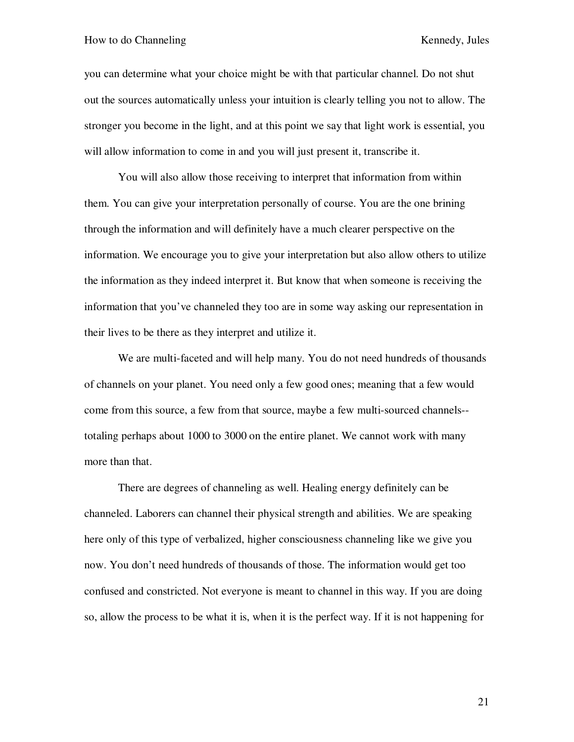you can determine what your choice might be with that particular channel. Do not shut out the sources automatically unless your intuition is clearly telling you not to allow. The stronger you become in the light, and at this point we say that light work is essential, you will allow information to come in and you will just present it, transcribe it.

You will also allow those receiving to interpret that information from within them. You can give your interpretation personally of course. You are the one brining through the information and will definitely have a much clearer perspective on the information. We encourage you to give your interpretation but also allow others to utilize the information as they indeed interpret it. But know that when someone is receiving the information that you've channeled they too are in some way asking our representation in their lives to be there as they interpret and utilize it.

We are multi-faceted and will help many. You do not need hundreds of thousands of channels on your planet. You need only a few good ones; meaning that a few would come from this source, a few from that source, maybe a few multi-sourced channels- totaling perhaps about 1000 to 3000 on the entire planet. We cannot work with many more than that.

There are degrees of channeling as well. Healing energy definitely can be channeled. Laborers can channel their physical strength and abilities. We are speaking here only of this type of verbalized, higher consciousness channeling like we give you now. You don't need hundreds of thousands of those. The information would get too confused and constricted. Not everyone is meant to channel in this way. If you are doing so, allow the process to be what it is, when it is the perfect way. If it is not happening for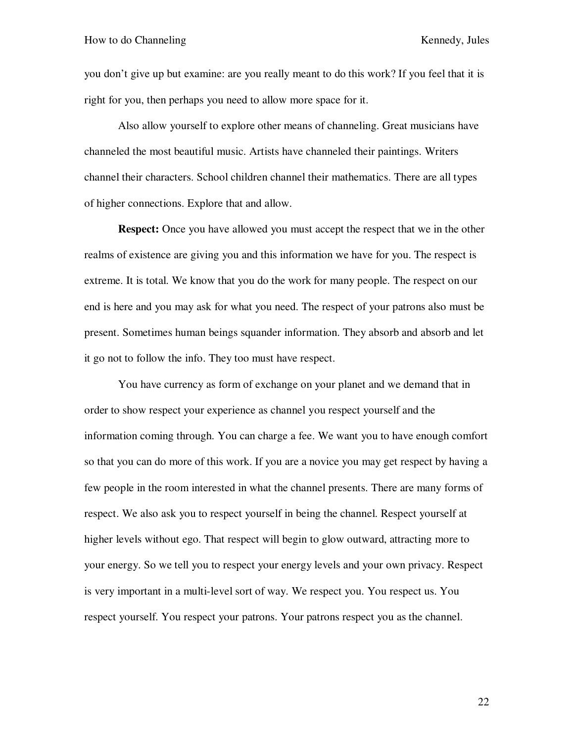you don't give up but examine: are you really meant to do this work? If you feel that it is right for you, then perhaps you need to allow more space for it.

Also allow yourself to explore other means of channeling. Great musicians have channeled the most beautiful music. Artists have channeled their paintings. Writers channel their characters. School children channel their mathematics. There are all types of higher connections. Explore that and allow.

**Respect:** Once you have allowed you must accept the respect that we in the other realms of existence are giving you and this information we have for you. The respect is extreme. It is total. We know that you do the work for many people. The respect on our end is here and you may ask for what you need. The respect of your patrons also must be present. Sometimes human beings squander information. They absorb and absorb and let it go not to follow the info. They too must have respect.

 You have currency as form of exchange on your planet and we demand that in order to show respect your experience as channel you respect yourself and the information coming through. You can charge a fee. We want you to have enough comfort so that you can do more of this work. If you are a novice you may get respect by having a few people in the room interested in what the channel presents. There are many forms of respect. We also ask you to respect yourself in being the channel. Respect yourself at higher levels without ego. That respect will begin to glow outward, attracting more to your energy. So we tell you to respect your energy levels and your own privacy. Respect is very important in a multi-level sort of way. We respect you. You respect us. You respect yourself. You respect your patrons. Your patrons respect you as the channel.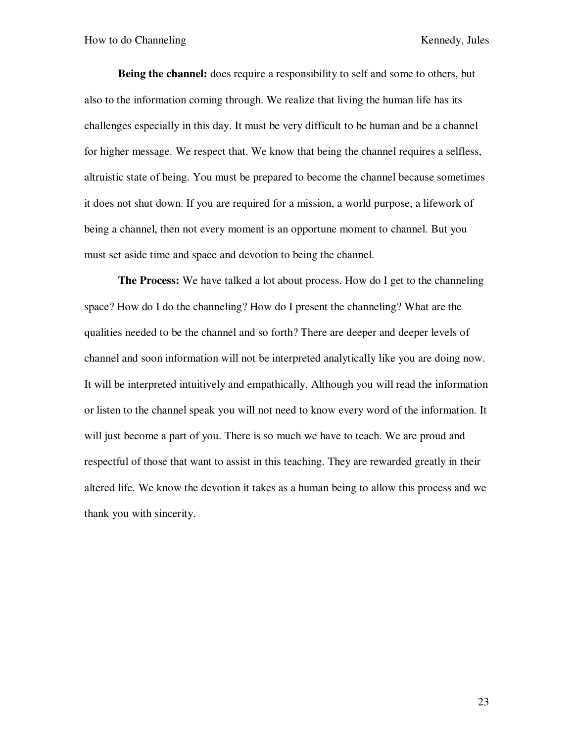**Being the channel:** does require a responsibility to self and some to others, but also to the information coming through. We realize that living the human life has its challenges especially in this day. It must be very difficult to be human and be a channel for higher message. We respect that. We know that being the channel requires a selfless, altruistic state of being. You must be prepared to become the channel because sometimes it does not shut down. If you are required for a mission, a world purpose, a lifework of being a channel, then not every moment is an opportune moment to channel. But you must set aside time and space and devotion to being the channel.

**The Process:** We have talked a lot about process. How do I get to the channeling space? How do I do the channeling? How do I present the channeling? What are the qualities needed to be the channel and so forth? There are deeper and deeper levels of channel and soon information will not be interpreted analytically like you are doing now. It will be interpreted intuitively and empathically. Although you will read the information or listen to the channel speak you will not need to know every word of the information. It will just become a part of you. There is so much we have to teach. We are proud and respectful of those that want to assist in this teaching. They are rewarded greatly in their altered life. We know the devotion it takes as a human being to allow this process and we thank you with sincerity.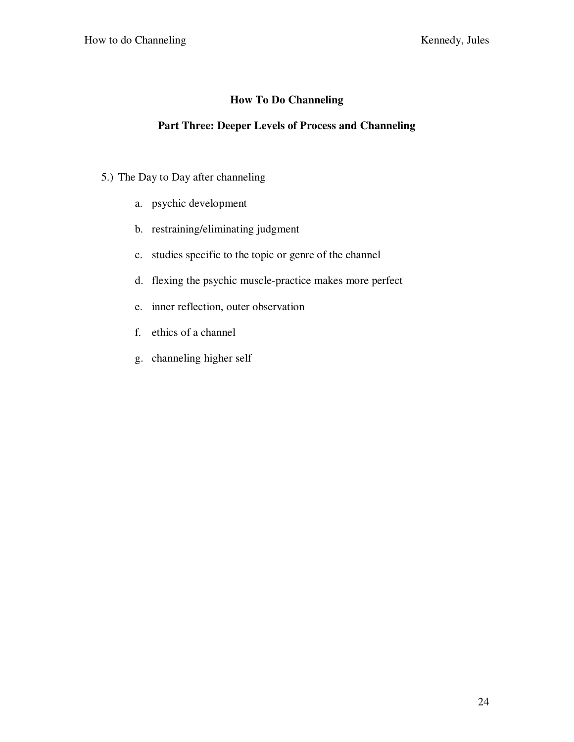## **How To Do Channeling**

## **Part Three: Deeper Levels of Process and Channeling**

- 5.) The Day to Day after channeling
	- a. psychic development
	- b. restraining/eliminating judgment
	- c. studies specific to the topic or genre of the channel
	- d. flexing the psychic muscle-practice makes more perfect
	- e. inner reflection, outer observation
	- f. ethics of a channel
	- g. channeling higher self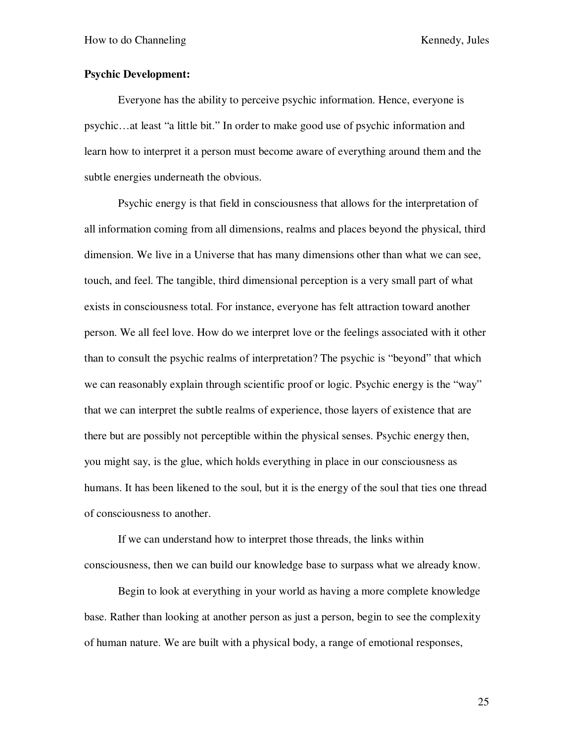### **Psychic Development:**

Everyone has the ability to perceive psychic information. Hence, everyone is psychic…at least "a little bit." In order to make good use of psychic information and learn how to interpret it a person must become aware of everything around them and the subtle energies underneath the obvious.

Psychic energy is that field in consciousness that allows for the interpretation of all information coming from all dimensions, realms and places beyond the physical, third dimension. We live in a Universe that has many dimensions other than what we can see, touch, and feel. The tangible, third dimensional perception is a very small part of what exists in consciousness total. For instance, everyone has felt attraction toward another person. We all feel love. How do we interpret love or the feelings associated with it other than to consult the psychic realms of interpretation? The psychic is "beyond" that which we can reasonably explain through scientific proof or logic. Psychic energy is the "way" that we can interpret the subtle realms of experience, those layers of existence that are there but are possibly not perceptible within the physical senses. Psychic energy then, you might say, is the glue, which holds everything in place in our consciousness as humans. It has been likened to the soul, but it is the energy of the soul that ties one thread of consciousness to another.

If we can understand how to interpret those threads, the links within consciousness, then we can build our knowledge base to surpass what we already know.

Begin to look at everything in your world as having a more complete knowledge base. Rather than looking at another person as just a person, begin to see the complexity of human nature. We are built with a physical body, a range of emotional responses,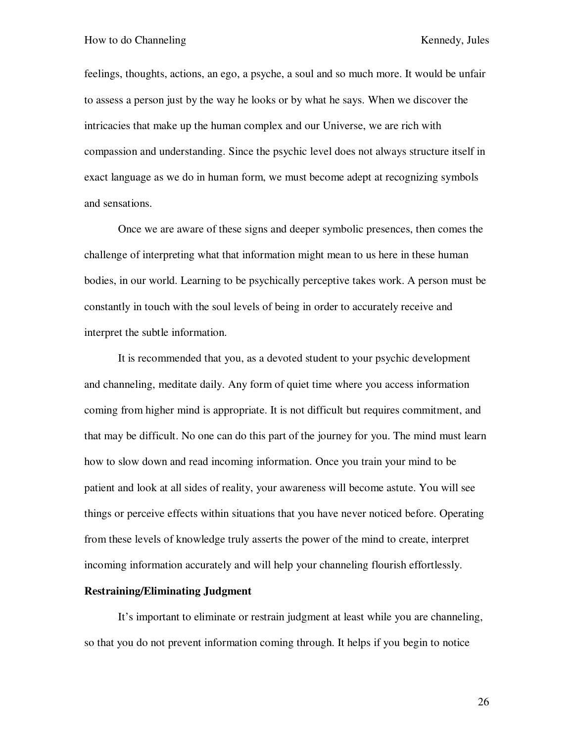feelings, thoughts, actions, an ego, a psyche, a soul and so much more. It would be unfair to assess a person just by the way he looks or by what he says. When we discover the intricacies that make up the human complex and our Universe, we are rich with compassion and understanding. Since the psychic level does not always structure itself in exact language as we do in human form, we must become adept at recognizing symbols and sensations.

Once we are aware of these signs and deeper symbolic presences, then comes the challenge of interpreting what that information might mean to us here in these human bodies, in our world. Learning to be psychically perceptive takes work. A person must be constantly in touch with the soul levels of being in order to accurately receive and interpret the subtle information.

It is recommended that you, as a devoted student to your psychic development and channeling, meditate daily. Any form of quiet time where you access information coming from higher mind is appropriate. It is not difficult but requires commitment, and that may be difficult. No one can do this part of the journey for you. The mind must learn how to slow down and read incoming information. Once you train your mind to be patient and look at all sides of reality, your awareness will become astute. You will see things or perceive effects within situations that you have never noticed before. Operating from these levels of knowledge truly asserts the power of the mind to create, interpret incoming information accurately and will help your channeling flourish effortlessly.

### **Restraining/Eliminating Judgment**

It's important to eliminate or restrain judgment at least while you are channeling, so that you do not prevent information coming through. It helps if you begin to notice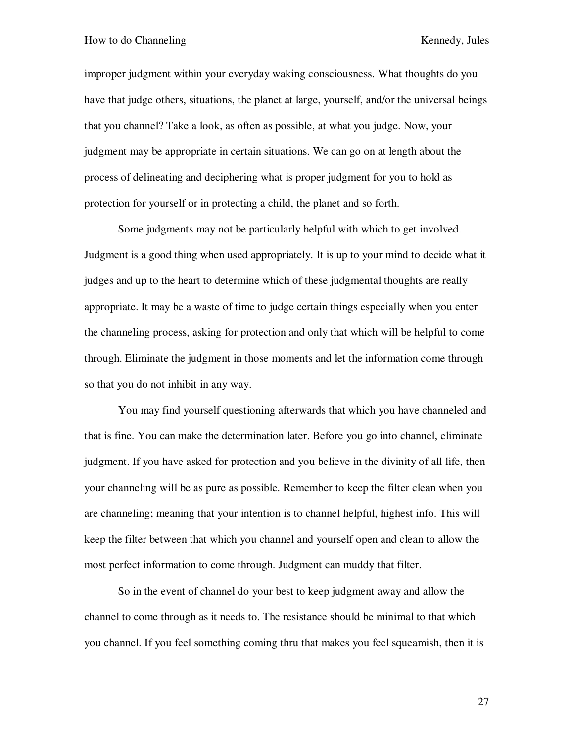#### How to do Channeling Theorem 2012 September 2013 Network Engineering Kennedy, Jules

improper judgment within your everyday waking consciousness. What thoughts do you have that judge others, situations, the planet at large, yourself, and/or the universal beings that you channel? Take a look, as often as possible, at what you judge. Now, your judgment may be appropriate in certain situations. We can go on at length about the process of delineating and deciphering what is proper judgment for you to hold as protection for yourself or in protecting a child, the planet and so forth.

Some judgments may not be particularly helpful with which to get involved. Judgment is a good thing when used appropriately. It is up to your mind to decide what it judges and up to the heart to determine which of these judgmental thoughts are really appropriate. It may be a waste of time to judge certain things especially when you enter the channeling process, asking for protection and only that which will be helpful to come through. Eliminate the judgment in those moments and let the information come through so that you do not inhibit in any way.

You may find yourself questioning afterwards that which you have channeled and that is fine. You can make the determination later. Before you go into channel, eliminate judgment. If you have asked for protection and you believe in the divinity of all life, then your channeling will be as pure as possible. Remember to keep the filter clean when you are channeling; meaning that your intention is to channel helpful, highest info. This will keep the filter between that which you channel and yourself open and clean to allow the most perfect information to come through. Judgment can muddy that filter.

So in the event of channel do your best to keep judgment away and allow the channel to come through as it needs to. The resistance should be minimal to that which you channel. If you feel something coming thru that makes you feel squeamish, then it is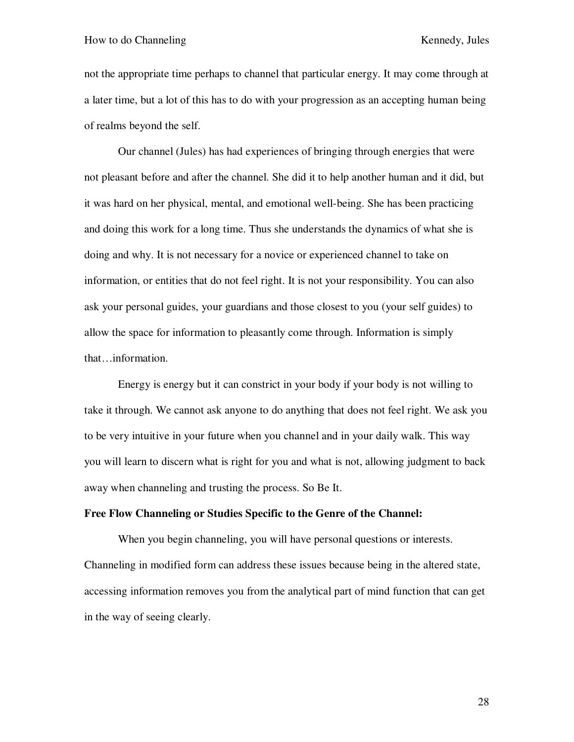not the appropriate time perhaps to channel that particular energy. It may come through at a later time, but a lot of this has to do with your progression as an accepting human being of realms beyond the self.

Our channel (Jules) has had experiences of bringing through energies that were not pleasant before and after the channel. She did it to help another human and it did, but it was hard on her physical, mental, and emotional well-being. She has been practicing and doing this work for a long time. Thus she understands the dynamics of what she is doing and why. It is not necessary for a novice or experienced channel to take on information, or entities that do not feel right. It is not your responsibility. You can also ask your personal guides, your guardians and those closest to you (your self guides) to allow the space for information to pleasantly come through. Information is simply that…information.

Energy is energy but it can constrict in your body if your body is not willing to take it through. We cannot ask anyone to do anything that does not feel right. We ask you to be very intuitive in your future when you channel and in your daily walk. This way you will learn to discern what is right for you and what is not, allowing judgment to back away when channeling and trusting the process. So Be It.

### **Free Flow Channeling or Studies Specific to the Genre of the Channel:**

When you begin channeling, you will have personal questions or interests. Channeling in modified form can address these issues because being in the altered state, accessing information removes you from the analytical part of mind function that can get in the way of seeing clearly.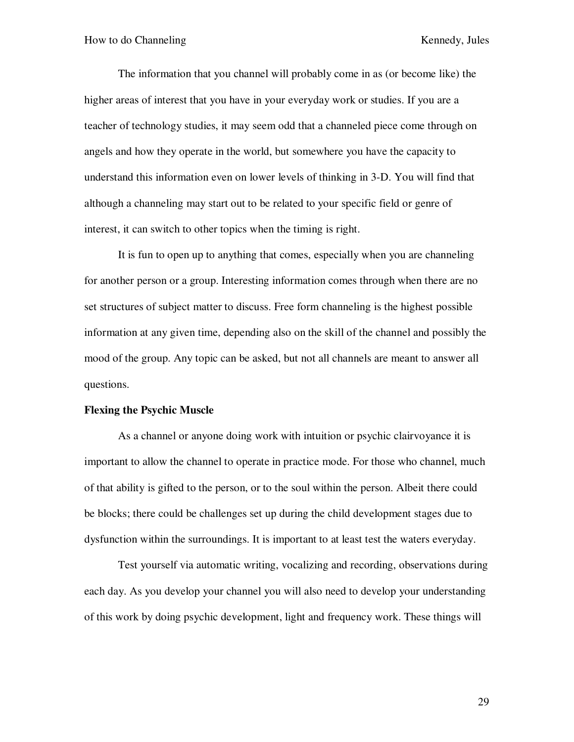The information that you channel will probably come in as (or become like) the higher areas of interest that you have in your everyday work or studies. If you are a teacher of technology studies, it may seem odd that a channeled piece come through on angels and how they operate in the world, but somewhere you have the capacity to understand this information even on lower levels of thinking in 3-D. You will find that although a channeling may start out to be related to your specific field or genre of interest, it can switch to other topics when the timing is right.

It is fun to open up to anything that comes, especially when you are channeling for another person or a group. Interesting information comes through when there are no set structures of subject matter to discuss. Free form channeling is the highest possible information at any given time, depending also on the skill of the channel and possibly the mood of the group. Any topic can be asked, but not all channels are meant to answer all questions.

#### **Flexing the Psychic Muscle**

As a channel or anyone doing work with intuition or psychic clairvoyance it is important to allow the channel to operate in practice mode. For those who channel, much of that ability is gifted to the person, or to the soul within the person. Albeit there could be blocks; there could be challenges set up during the child development stages due to dysfunction within the surroundings. It is important to at least test the waters everyday.

Test yourself via automatic writing, vocalizing and recording, observations during each day. As you develop your channel you will also need to develop your understanding of this work by doing psychic development, light and frequency work. These things will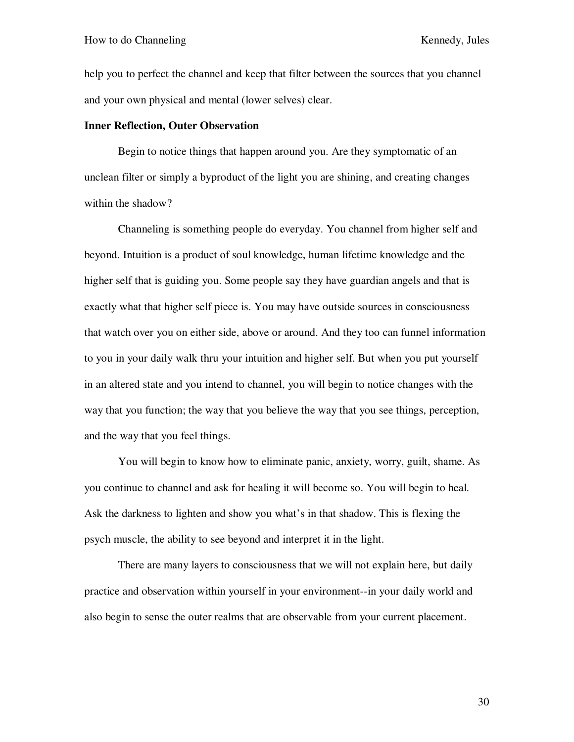help you to perfect the channel and keep that filter between the sources that you channel and your own physical and mental (lower selves) clear.

### **Inner Reflection, Outer Observation**

Begin to notice things that happen around you. Are they symptomatic of an unclean filter or simply a byproduct of the light you are shining, and creating changes within the shadow?

Channeling is something people do everyday. You channel from higher self and beyond. Intuition is a product of soul knowledge, human lifetime knowledge and the higher self that is guiding you. Some people say they have guardian angels and that is exactly what that higher self piece is. You may have outside sources in consciousness that watch over you on either side, above or around. And they too can funnel information to you in your daily walk thru your intuition and higher self. But when you put yourself in an altered state and you intend to channel, you will begin to notice changes with the way that you function; the way that you believe the way that you see things, perception, and the way that you feel things.

You will begin to know how to eliminate panic, anxiety, worry, guilt, shame. As you continue to channel and ask for healing it will become so. You will begin to heal. Ask the darkness to lighten and show you what's in that shadow. This is flexing the psych muscle, the ability to see beyond and interpret it in the light.

There are many layers to consciousness that we will not explain here, but daily practice and observation within yourself in your environment--in your daily world and also begin to sense the outer realms that are observable from your current placement.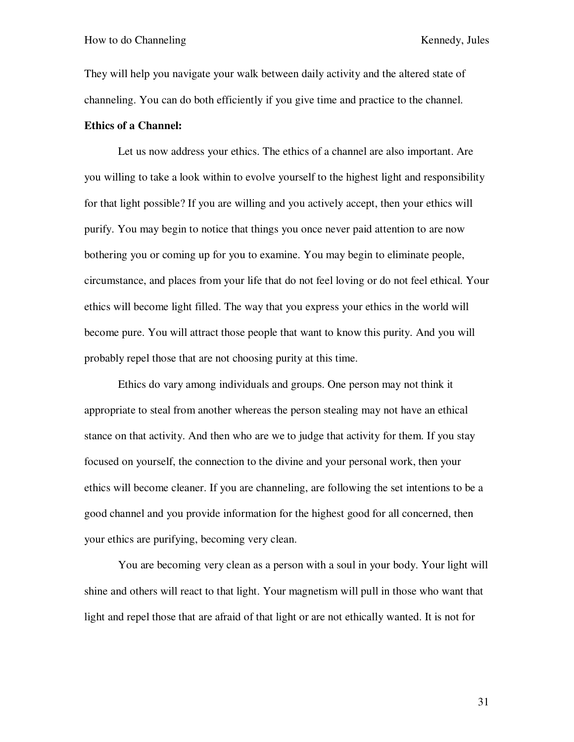They will help you navigate your walk between daily activity and the altered state of channeling. You can do both efficiently if you give time and practice to the channel.

## **Ethics of a Channel:**

Let us now address your ethics. The ethics of a channel are also important. Are you willing to take a look within to evolve yourself to the highest light and responsibility for that light possible? If you are willing and you actively accept, then your ethics will purify. You may begin to notice that things you once never paid attention to are now bothering you or coming up for you to examine. You may begin to eliminate people, circumstance, and places from your life that do not feel loving or do not feel ethical. Your ethics will become light filled. The way that you express your ethics in the world will become pure. You will attract those people that want to know this purity. And you will probably repel those that are not choosing purity at this time.

 Ethics do vary among individuals and groups. One person may not think it appropriate to steal from another whereas the person stealing may not have an ethical stance on that activity. And then who are we to judge that activity for them. If you stay focused on yourself, the connection to the divine and your personal work, then your ethics will become cleaner. If you are channeling, are following the set intentions to be a good channel and you provide information for the highest good for all concerned, then your ethics are purifying, becoming very clean.

 You are becoming very clean as a person with a soul in your body. Your light will shine and others will react to that light. Your magnetism will pull in those who want that light and repel those that are afraid of that light or are not ethically wanted. It is not for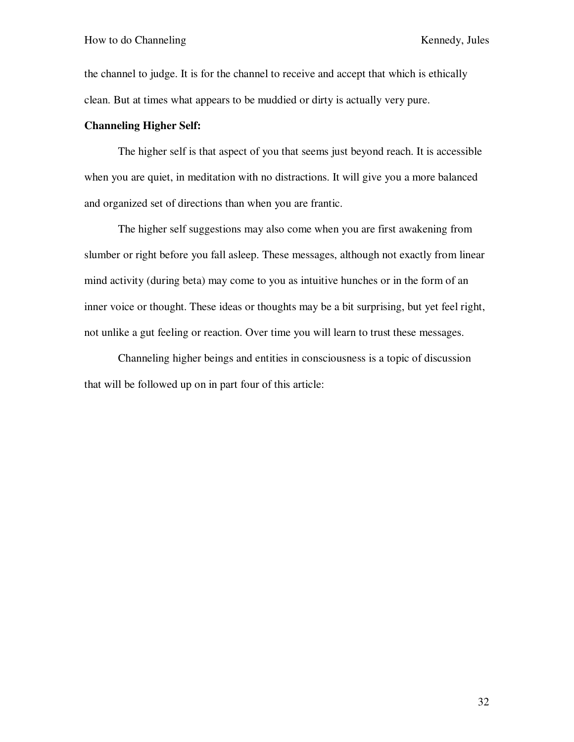the channel to judge. It is for the channel to receive and accept that which is ethically clean. But at times what appears to be muddied or dirty is actually very pure.

## **Channeling Higher Self:**

The higher self is that aspect of you that seems just beyond reach. It is accessible when you are quiet, in meditation with no distractions. It will give you a more balanced and organized set of directions than when you are frantic.

The higher self suggestions may also come when you are first awakening from slumber or right before you fall asleep. These messages, although not exactly from linear mind activity (during beta) may come to you as intuitive hunches or in the form of an inner voice or thought. These ideas or thoughts may be a bit surprising, but yet feel right, not unlike a gut feeling or reaction. Over time you will learn to trust these messages.

Channeling higher beings and entities in consciousness is a topic of discussion that will be followed up on in part four of this article: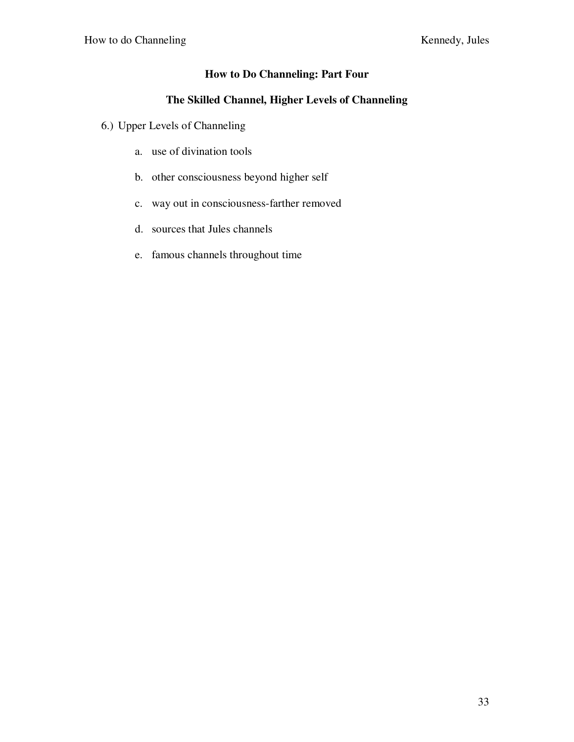## **How to Do Channeling: Part Four**

## **The Skilled Channel, Higher Levels of Channeling**

- 6.) Upper Levels of Channeling
	- a. use of divination tools
	- b. other consciousness beyond higher self
	- c. way out in consciousness-farther removed
	- d. sources that Jules channels
	- e. famous channels throughout time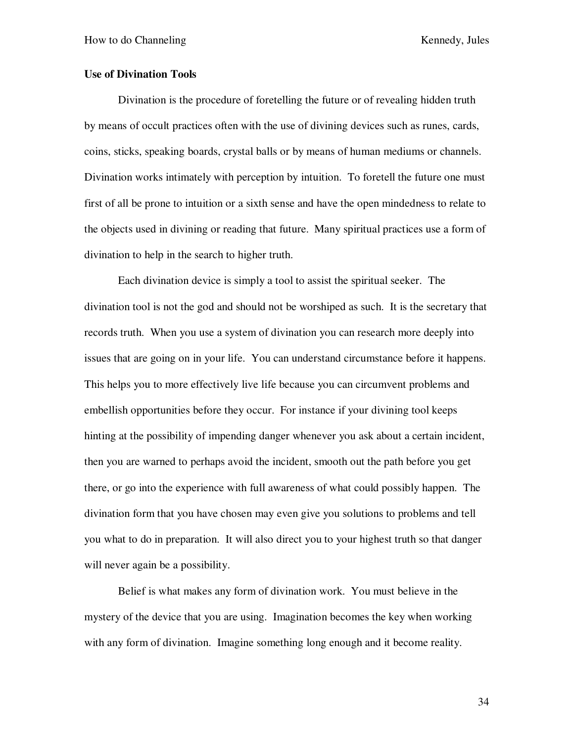## **Use of Divination Tools**

Divination is the procedure of foretelling the future or of revealing hidden truth by means of occult practices often with the use of divining devices such as runes, cards, coins, sticks, speaking boards, crystal balls or by means of human mediums or channels. Divination works intimately with perception by intuition. To foretell the future one must first of all be prone to intuition or a sixth sense and have the open mindedness to relate to the objects used in divining or reading that future. Many spiritual practices use a form of divination to help in the search to higher truth.

Each divination device is simply a tool to assist the spiritual seeker. The divination tool is not the god and should not be worshiped as such. It is the secretary that records truth. When you use a system of divination you can research more deeply into issues that are going on in your life. You can understand circumstance before it happens. This helps you to more effectively live life because you can circumvent problems and embellish opportunities before they occur. For instance if your divining tool keeps hinting at the possibility of impending danger whenever you ask about a certain incident, then you are warned to perhaps avoid the incident, smooth out the path before you get there, or go into the experience with full awareness of what could possibly happen. The divination form that you have chosen may even give you solutions to problems and tell you what to do in preparation. It will also direct you to your highest truth so that danger will never again be a possibility.

Belief is what makes any form of divination work. You must believe in the mystery of the device that you are using. Imagination becomes the key when working with any form of divination. Imagine something long enough and it become reality.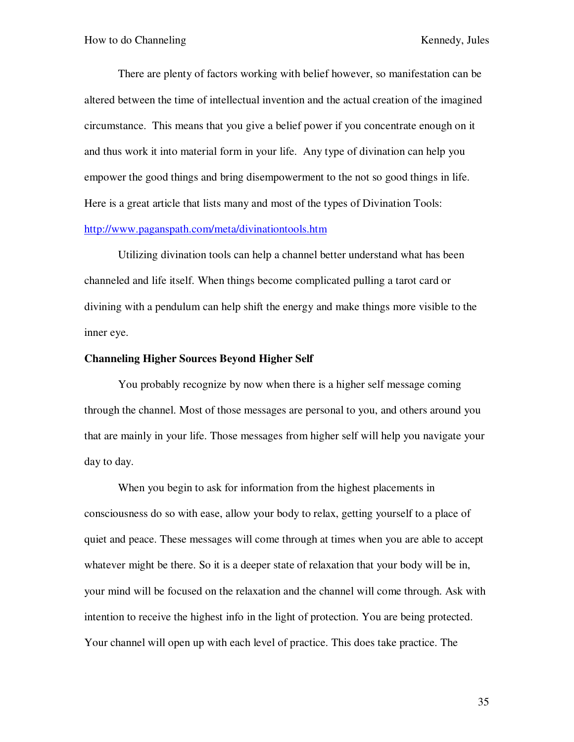There are plenty of factors working with belief however, so manifestation can be altered between the time of intellectual invention and the actual creation of the imagined circumstance. This means that you give a belief power if you concentrate enough on it and thus work it into material form in your life. Any type of divination can help you empower the good things and bring disempowerment to the not so good things in life. Here is a great article that lists many and most of the types of Divination Tools:

## http://www.paganspath.com/meta/divinationtools.htm

Utilizing divination tools can help a channel better understand what has been channeled and life itself. When things become complicated pulling a tarot card or divining with a pendulum can help shift the energy and make things more visible to the inner eye.

### **Channeling Higher Sources Beyond Higher Self**

You probably recognize by now when there is a higher self message coming through the channel. Most of those messages are personal to you, and others around you that are mainly in your life. Those messages from higher self will help you navigate your day to day.

When you begin to ask for information from the highest placements in consciousness do so with ease, allow your body to relax, getting yourself to a place of quiet and peace. These messages will come through at times when you are able to accept whatever might be there. So it is a deeper state of relaxation that your body will be in, your mind will be focused on the relaxation and the channel will come through. Ask with intention to receive the highest info in the light of protection. You are being protected. Your channel will open up with each level of practice. This does take practice. The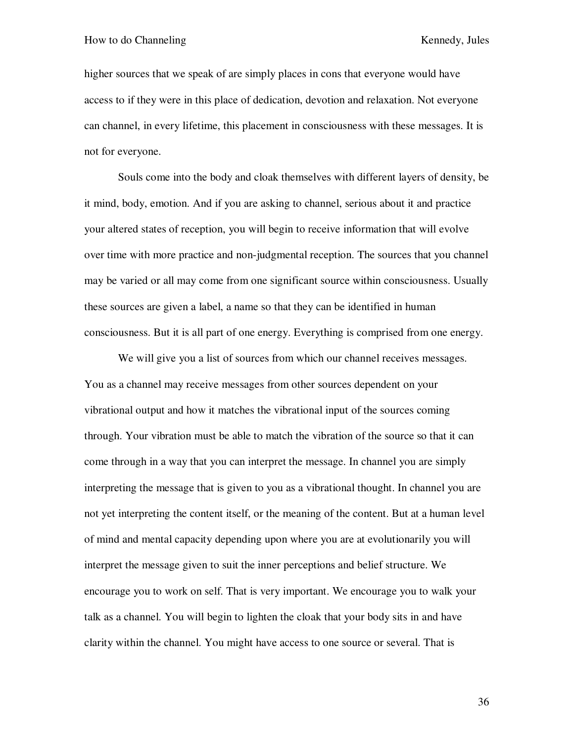higher sources that we speak of are simply places in cons that everyone would have access to if they were in this place of dedication, devotion and relaxation. Not everyone can channel, in every lifetime, this placement in consciousness with these messages. It is not for everyone.

Souls come into the body and cloak themselves with different layers of density, be it mind, body, emotion. And if you are asking to channel, serious about it and practice your altered states of reception, you will begin to receive information that will evolve over time with more practice and non-judgmental reception. The sources that you channel may be varied or all may come from one significant source within consciousness. Usually these sources are given a label, a name so that they can be identified in human consciousness. But it is all part of one energy. Everything is comprised from one energy.

We will give you a list of sources from which our channel receives messages. You as a channel may receive messages from other sources dependent on your vibrational output and how it matches the vibrational input of the sources coming through. Your vibration must be able to match the vibration of the source so that it can come through in a way that you can interpret the message. In channel you are simply interpreting the message that is given to you as a vibrational thought. In channel you are not yet interpreting the content itself, or the meaning of the content. But at a human level of mind and mental capacity depending upon where you are at evolutionarily you will interpret the message given to suit the inner perceptions and belief structure. We encourage you to work on self. That is very important. We encourage you to walk your talk as a channel. You will begin to lighten the cloak that your body sits in and have clarity within the channel. You might have access to one source or several. That is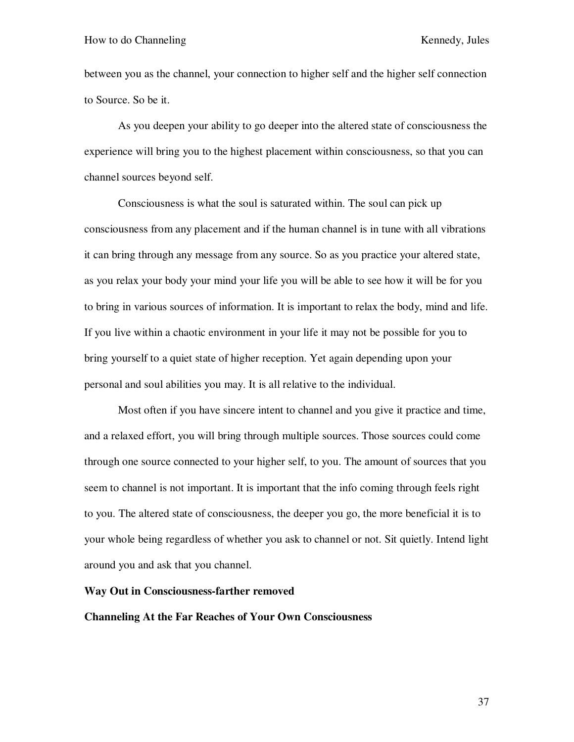between you as the channel, your connection to higher self and the higher self connection to Source. So be it.

As you deepen your ability to go deeper into the altered state of consciousness the experience will bring you to the highest placement within consciousness, so that you can channel sources beyond self.

Consciousness is what the soul is saturated within. The soul can pick up consciousness from any placement and if the human channel is in tune with all vibrations it can bring through any message from any source. So as you practice your altered state, as you relax your body your mind your life you will be able to see how it will be for you to bring in various sources of information. It is important to relax the body, mind and life. If you live within a chaotic environment in your life it may not be possible for you to bring yourself to a quiet state of higher reception. Yet again depending upon your personal and soul abilities you may. It is all relative to the individual.

Most often if you have sincere intent to channel and you give it practice and time, and a relaxed effort, you will bring through multiple sources. Those sources could come through one source connected to your higher self, to you. The amount of sources that you seem to channel is not important. It is important that the info coming through feels right to you. The altered state of consciousness, the deeper you go, the more beneficial it is to your whole being regardless of whether you ask to channel or not. Sit quietly. Intend light around you and ask that you channel.

#### **Way Out in Consciousness-farther removed**

### **Channeling At the Far Reaches of Your Own Consciousness**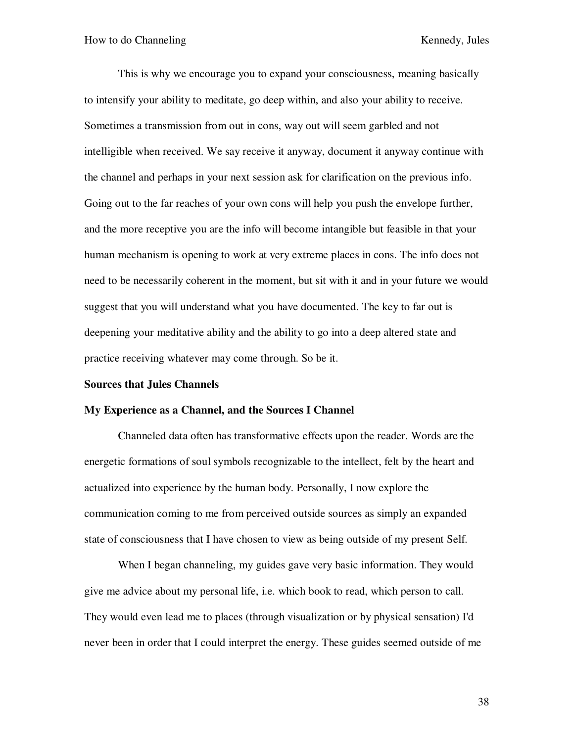This is why we encourage you to expand your consciousness, meaning basically to intensify your ability to meditate, go deep within, and also your ability to receive. Sometimes a transmission from out in cons, way out will seem garbled and not intelligible when received. We say receive it anyway, document it anyway continue with the channel and perhaps in your next session ask for clarification on the previous info. Going out to the far reaches of your own cons will help you push the envelope further, and the more receptive you are the info will become intangible but feasible in that your human mechanism is opening to work at very extreme places in cons. The info does not need to be necessarily coherent in the moment, but sit with it and in your future we would suggest that you will understand what you have documented. The key to far out is deepening your meditative ability and the ability to go into a deep altered state and practice receiving whatever may come through. So be it.

#### **Sources that Jules Channels**

#### **My Experience as a Channel, and the Sources I Channel**

Channeled data often has transformative effects upon the reader. Words are the energetic formations of soul symbols recognizable to the intellect, felt by the heart and actualized into experience by the human body. Personally, I now explore the communication coming to me from perceived outside sources as simply an expanded state of consciousness that I have chosen to view as being outside of my present Self.

When I began channeling, my guides gave very basic information. They would give me advice about my personal life, i.e. which book to read, which person to call. They would even lead me to places (through visualization or by physical sensation) I'd never been in order that I could interpret the energy. These guides seemed outside of me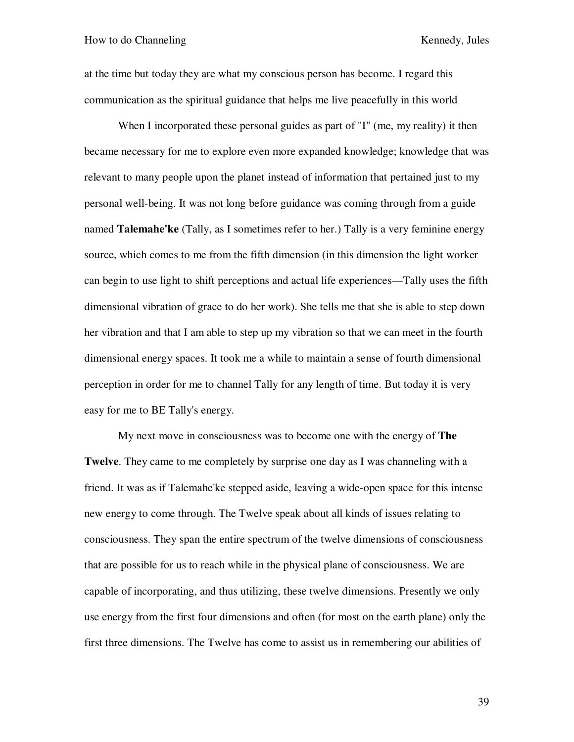at the time but today they are what my conscious person has become. I regard this communication as the spiritual guidance that helps me live peacefully in this world

When I incorporated these personal guides as part of "I" (me, my reality) it then became necessary for me to explore even more expanded knowledge; knowledge that was relevant to many people upon the planet instead of information that pertained just to my personal well-being. It was not long before guidance was coming through from a guide named **Talemahe'ke** (Tally, as I sometimes refer to her.) Tally is a very feminine energy source, which comes to me from the fifth dimension (in this dimension the light worker can begin to use light to shift perceptions and actual life experiences—Tally uses the fifth dimensional vibration of grace to do her work). She tells me that she is able to step down her vibration and that I am able to step up my vibration so that we can meet in the fourth dimensional energy spaces. It took me a while to maintain a sense of fourth dimensional perception in order for me to channel Tally for any length of time. But today it is very easy for me to BE Tally's energy.

My next move in consciousness was to become one with the energy of **The Twelve**. They came to me completely by surprise one day as I was channeling with a friend. It was as if Talemahe'ke stepped aside, leaving a wide-open space for this intense new energy to come through. The Twelve speak about all kinds of issues relating to consciousness. They span the entire spectrum of the twelve dimensions of consciousness that are possible for us to reach while in the physical plane of consciousness. We are capable of incorporating, and thus utilizing, these twelve dimensions. Presently we only use energy from the first four dimensions and often (for most on the earth plane) only the first three dimensions. The Twelve has come to assist us in remembering our abilities of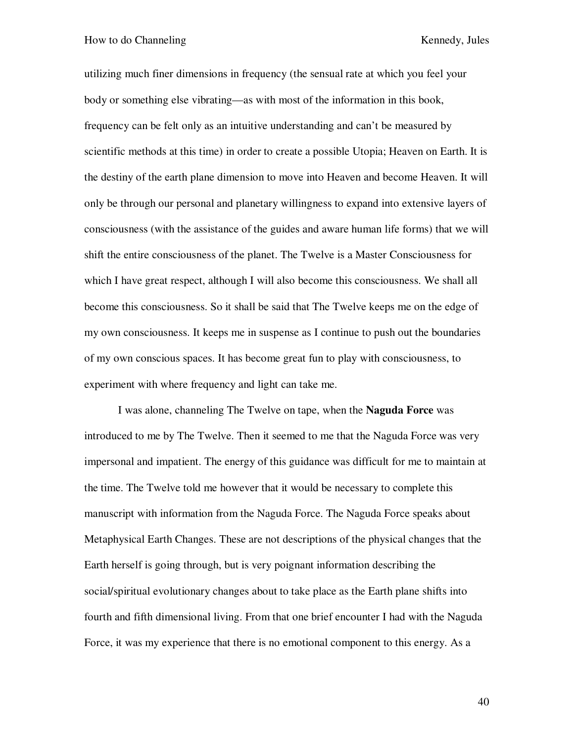utilizing much finer dimensions in frequency (the sensual rate at which you feel your body or something else vibrating—as with most of the information in this book, frequency can be felt only as an intuitive understanding and can't be measured by scientific methods at this time) in order to create a possible Utopia; Heaven on Earth. It is the destiny of the earth plane dimension to move into Heaven and become Heaven. It will only be through our personal and planetary willingness to expand into extensive layers of consciousness (with the assistance of the guides and aware human life forms) that we will shift the entire consciousness of the planet. The Twelve is a Master Consciousness for which I have great respect, although I will also become this consciousness. We shall all become this consciousness. So it shall be said that The Twelve keeps me on the edge of my own consciousness. It keeps me in suspense as I continue to push out the boundaries of my own conscious spaces. It has become great fun to play with consciousness, to experiment with where frequency and light can take me.

I was alone, channeling The Twelve on tape, when the **Naguda Force** was introduced to me by The Twelve. Then it seemed to me that the Naguda Force was very impersonal and impatient. The energy of this guidance was difficult for me to maintain at the time. The Twelve told me however that it would be necessary to complete this manuscript with information from the Naguda Force. The Naguda Force speaks about Metaphysical Earth Changes. These are not descriptions of the physical changes that the Earth herself is going through, but is very poignant information describing the social/spiritual evolutionary changes about to take place as the Earth plane shifts into fourth and fifth dimensional living. From that one brief encounter I had with the Naguda Force, it was my experience that there is no emotional component to this energy. As a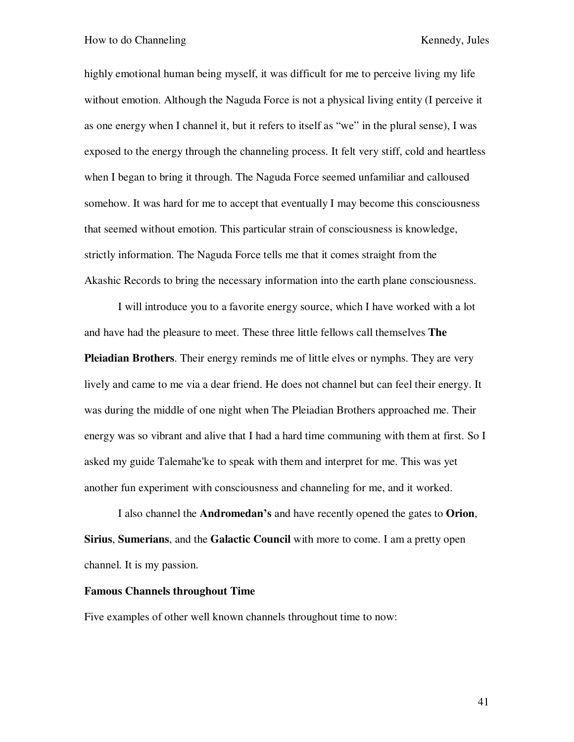highly emotional human being myself, it was difficult for me to perceive living my life without emotion. Although the Naguda Force is not a physical living entity (I perceive it as one energy when I channel it, but it refers to itself as "we" in the plural sense), I was exposed to the energy through the channeling process. It felt very stiff, cold and heartless when I began to bring it through. The Naguda Force seemed unfamiliar and calloused somehow. It was hard for me to accept that eventually I may become this consciousness that seemed without emotion. This particular strain of consciousness is knowledge, strictly information. The Naguda Force tells me that it comes straight from the Akashic Records to bring the necessary information into the earth plane consciousness.

I will introduce you to a favorite energy source, which I have worked with a lot and have had the pleasure to meet. These three little fellows call themselves **The Pleiadian Brothers**. Their energy reminds me of little elves or nymphs. They are very lively and came to me via a dear friend. He does not channel but can feel their energy. It was during the middle of one night when The Pleiadian Brothers approached me. Their energy was so vibrant and alive that I had a hard time communing with them at first. So I asked my guide Talemahe'ke to speak with them and interpret for me. This was yet another fun experiment with consciousness and channeling for me, and it worked.

I also channel the **Andromedan's** and have recently opened the gates to **Orion**, **Sirius**, **Sumerians**, and the **Galactic Council** with more to come. I am a pretty open channel. It is my passion.

### **Famous Channels throughout Time**

Five examples of other well known channels throughout time to now: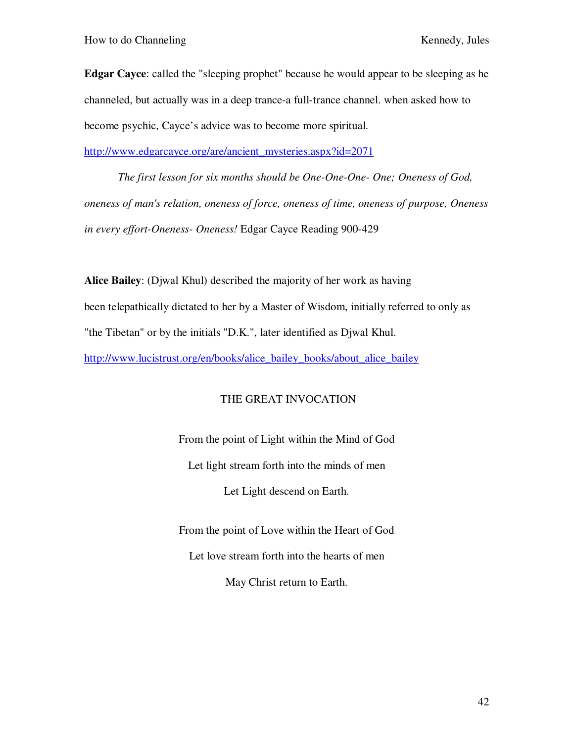**Edgar Cayce**: called the "sleeping prophet" because he would appear to be sleeping as he channeled, but actually was in a deep trance-a full-trance channel. when asked how to become psychic, Cayce's advice was to become more spiritual.

http://www.edgarcayce.org/are/ancient\_mysteries.aspx?id=2071

*The first lesson for six months should be One-One-One- One; Oneness of God, oneness of man's relation, oneness of force, oneness of time, oneness of purpose, Oneness in every effort-Oneness- Oneness!* Edgar Cayce Reading 900-429

**Alice Bailey**: (Djwal Khul) described the majority of her work as having been telepathically dictated to her by a Master of Wisdom, initially referred to only as "the Tibetan" or by the initials "D.K.", later identified as Djwal Khul. http://www.lucistrust.org/en/books/alice\_bailey\_books/about\_alice\_bailey

## THE GREAT INVOCATION

From the point of Light within the Mind of God Let light stream forth into the minds of men Let Light descend on Earth.

From the point of Love within the Heart of God Let love stream forth into the hearts of men May Christ return to Earth.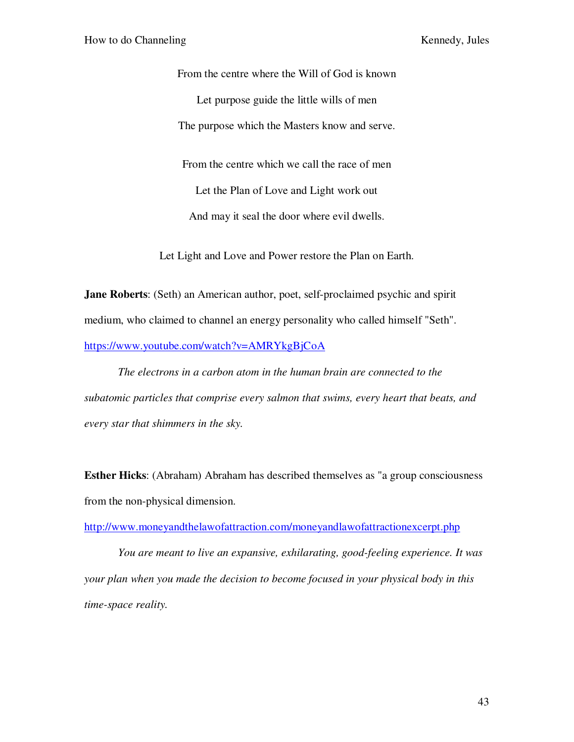From the centre where the Will of God is known Let purpose guide the little wills of men The purpose which the Masters know and serve. From the centre which we call the race of men Let the Plan of Love and Light work out And may it seal the door where evil dwells.

Let Light and Love and Power restore the Plan on Earth.

**Jane Roberts**: (Seth) an American author, poet, self-proclaimed psychic and spirit medium, who claimed to channel an energy personality who called himself "Seth". https://www.youtube.com/watch?v=AMRYkgBjCoA

*The electrons in a carbon atom in the human brain are connected to the subatomic particles that comprise every salmon that swims, every heart that beats, and every star that shimmers in the sky.* 

**Esther Hicks**: (Abraham) Abraham has described themselves as "a group consciousness from the non-physical dimension.

http://www.moneyandthelawofattraction.com/moneyandlawofattractionexcerpt.php

*You are meant to live an expansive, exhilarating, good-feeling experience. It was your plan when you made the decision to become focused in your physical body in this time-space reality.*